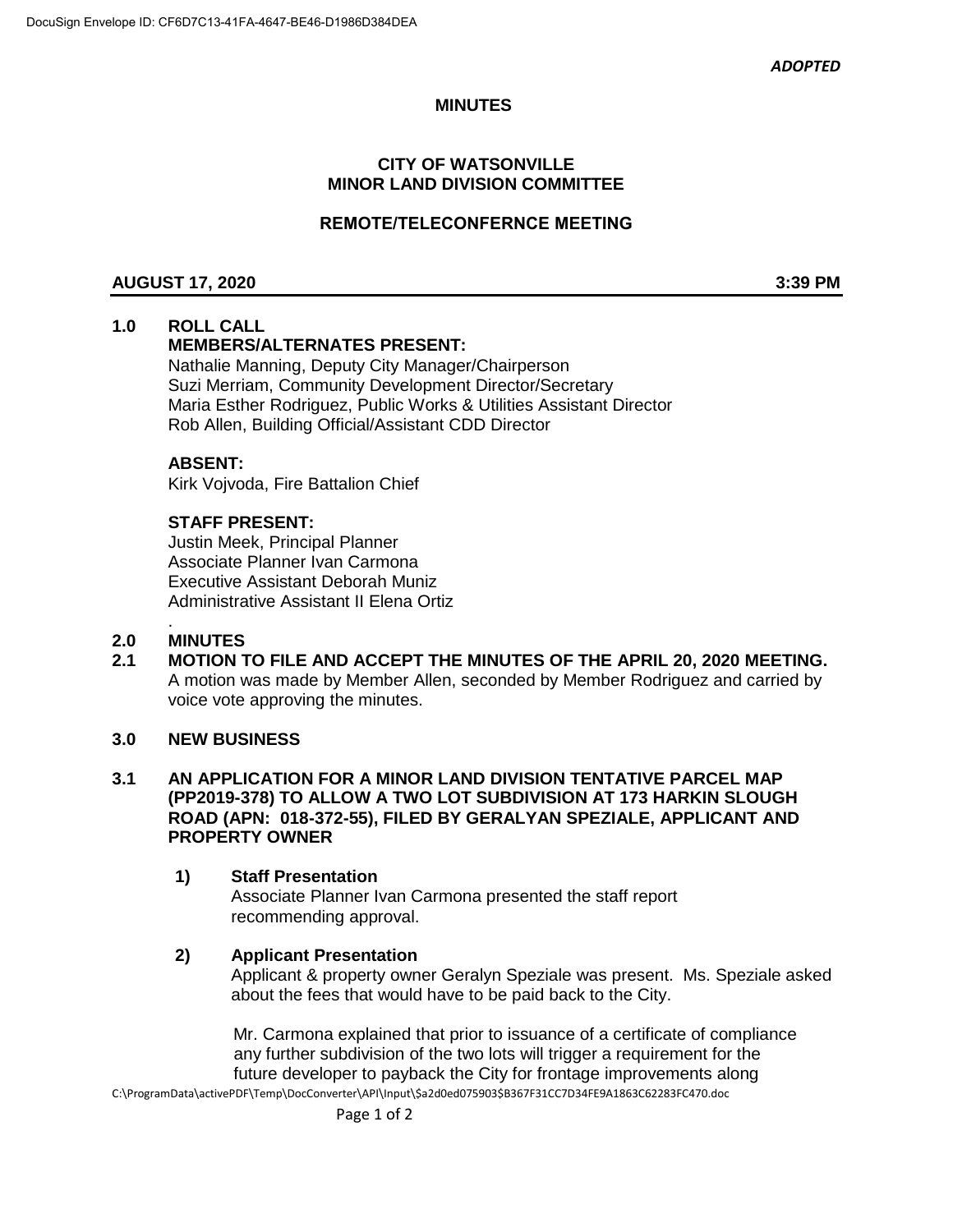# **MINUTES**

# **CITY OF WATSONVILLE MINOR LAND DIVISION COMMITTEE**

# **REMOTE/TELECONFERNCE MEETING**

# **AUGUST 17, 2020 3:39 PM**

# **1.0 ROLL CALL**

# **MEMBERS/ALTERNATES PRESENT:**

Nathalie Manning, Deputy City Manager/Chairperson Suzi Merriam, Community Development Director/Secretary Maria Esther Rodriguez, Public Works & Utilities Assistant Director Rob Allen, Building Official/Assistant CDD Director

# **ABSENT:**

Kirk Vojvoda, Fire Battalion Chief

# **STAFF PRESENT:**

Justin Meek, Principal Planner Associate Planner Ivan Carmona Executive Assistant Deborah Muniz Administrative Assistant II Elena Ortiz

#### . **2.0 MINUTES**

**2.1 MOTION TO FILE AND ACCEPT THE MINUTES OF THE APRIL 20, 2020 MEETING.** A motion was made by Member Allen, seconded by Member Rodriguez and carried by voice vote approving the minutes.

#### **3.0 NEW BUSINESS**

# **3.1 AN APPLICATION FOR A MINOR LAND DIVISION TENTATIVE PARCEL MAP (PP2019-378) TO ALLOW A TWO LOT SUBDIVISION AT 173 HARKIN SLOUGH ROAD (APN: 018-372-55), FILED BY GERALYAN SPEZIALE, APPLICANT AND PROPERTY OWNER**

#### **1) Staff Presentation**

Associate Planner Ivan Carmona presented the staff report recommending approval.

# **2) Applicant Presentation**

Applicant & property owner Geralyn Speziale was present. Ms. Speziale asked about the fees that would have to be paid back to the City.

C:\ProgramData\activePDF\Temp\DocConverter\API\Input\\$a2d0ed075903\$B367F31CC7D34FE9A1863C62283FC470.doc Mr. Carmona explained that prior to issuance of a certificate of compliance any further subdivision of the two lots will trigger a requirement for the future developer to payback the City for frontage improvements along